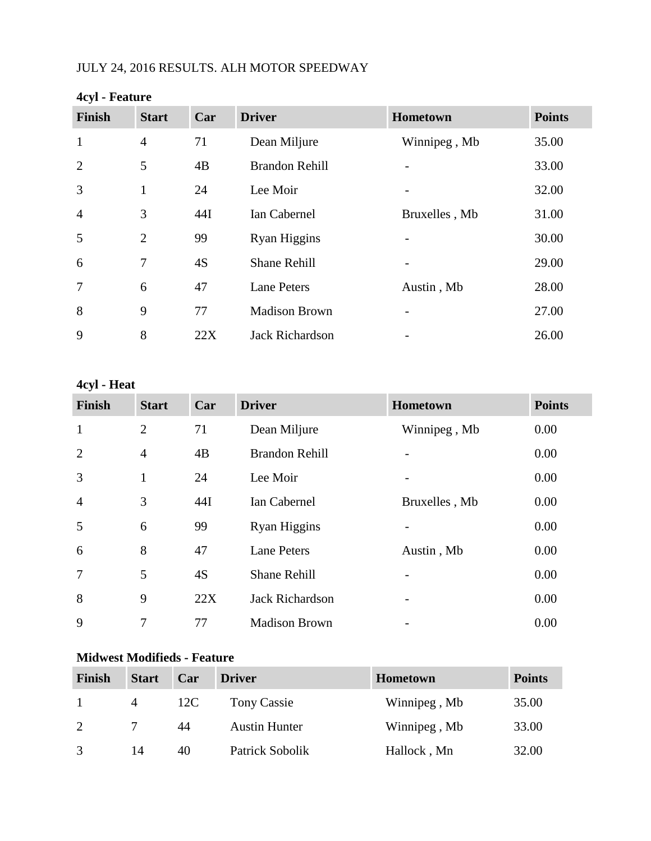# JULY 24, 2016 RESULTS. ALH MOTOR SPEEDWAY

| . . <i>.</i> . |                |     |                        |               |               |  |  |
|----------------|----------------|-----|------------------------|---------------|---------------|--|--|
| <b>Finish</b>  | <b>Start</b>   | Car | <b>Driver</b>          | Hometown      | <b>Points</b> |  |  |
| $\mathbf{1}$   | $\overline{4}$ | 71  | Dean Miljure           | Winnipeg, Mb  | 35.00         |  |  |
| $\overline{2}$ | 5              | 4B  | <b>Brandon Rehill</b>  |               | 33.00         |  |  |
| 3              | $\mathbf{1}$   | 24  | Lee Moir               |               | 32.00         |  |  |
| $\overline{4}$ | 3              | 44I | Ian Cabernel           | Bruxelles, Mb | 31.00         |  |  |
| 5              | $\overline{2}$ | 99  | Ryan Higgins           |               | 30.00         |  |  |
| 6              | 7              | 4S  | <b>Shane Rehill</b>    |               | 29.00         |  |  |
| $\overline{7}$ | 6              | 47  | <b>Lane Peters</b>     | Austin, Mb    | 28.00         |  |  |
| 8              | 9              | 77  | <b>Madison Brown</b>   |               | 27.00         |  |  |
| 9              | 8              | 22X | <b>Jack Richardson</b> |               | 26.00         |  |  |

#### **4cyl - Feature**

# **4cyl - Heat**

| <b>Finish</b>  | <b>Start</b>   | Car | <b>Driver</b>          | Hometown      | <b>Points</b> |
|----------------|----------------|-----|------------------------|---------------|---------------|
| $\mathbf{1}$   | $\overline{2}$ | 71  | Dean Miljure           | Winnipeg, Mb  | 0.00          |
| $\overline{2}$ | $\overline{4}$ | 4B  | <b>Brandon Rehill</b>  |               | 0.00          |
| 3              | 1              | 24  | Lee Moir               |               | 0.00          |
| $\overline{4}$ | 3              | 44I | Ian Cabernel           | Bruxelles, Mb | 0.00          |
| 5              | 6              | 99  | Ryan Higgins           |               | 0.00          |
| 6              | 8              | 47  | <b>Lane Peters</b>     | Austin, Mb    | 0.00          |
| $\overline{7}$ | 5              | 4S  | <b>Shane Rehill</b>    |               | 0.00          |
| 8              | 9              | 22X | <b>Jack Richardson</b> |               | 0.00          |
| 9              | 7              | 77  | <b>Madison Brown</b>   |               | 0.00          |

## **Midwest Modifieds - Feature**

| <b>Finish</b> | <b>Start</b> | Car | <b>Driver</b>        | <b>Hometown</b> | <b>Points</b> |
|---------------|--------------|-----|----------------------|-----------------|---------------|
|               | 4            | 12C | Tony Cassie          | Winnipeg, Mb    | 35.00         |
| 2             |              | 44  | <b>Austin Hunter</b> | Winnipeg, Mb    | 33.00         |
| $\mathcal{R}$ | 14           | 40  | Patrick Sobolik      | Hallock, Mn     | 32.00         |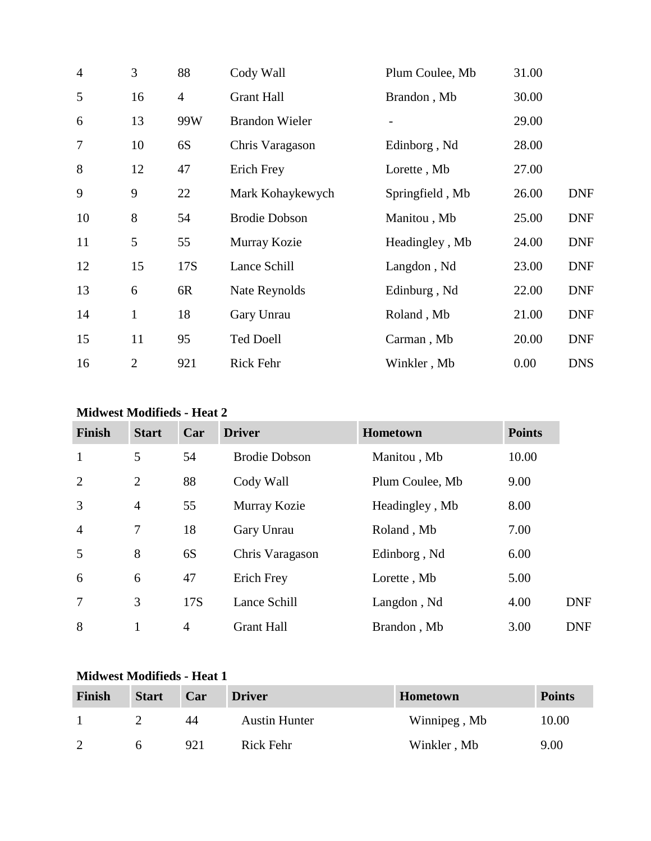| $\overline{4}$ | 3              | 88             | Cody Wall             | Plum Coulee, Mb | 31.00 |            |
|----------------|----------------|----------------|-----------------------|-----------------|-------|------------|
| 5              | 16             | $\overline{4}$ | <b>Grant Hall</b>     | Brandon, Mb     | 30.00 |            |
| 6              | 13             | 99W            | <b>Brandon Wieler</b> |                 | 29.00 |            |
| $\overline{7}$ | 10             | 6S             | Chris Varagason       | Edinborg, Nd    | 28.00 |            |
| 8              | 12             | 47             | Erich Frey            | Lorette, Mb     | 27.00 |            |
| 9              | 9              | 22             | Mark Kohaykewych      | Springfield, Mb | 26.00 | <b>DNF</b> |
| 10             | 8              | 54             | <b>Brodie Dobson</b>  | Manitou, Mb     | 25.00 | <b>DNF</b> |
| 11             | 5              | 55             | Murray Kozie          | Headingley, Mb  | 24.00 | <b>DNF</b> |
| 12             | 15             | 17S            | Lance Schill          | Langdon, Nd     | 23.00 | <b>DNF</b> |
| 13             | 6              | 6R             | Nate Reynolds         | Edinburg, Nd    | 22.00 | <b>DNF</b> |
| 14             | $\mathbf{1}$   | 18             | Gary Unrau            | Roland, Mb      | 21.00 | <b>DNF</b> |
| 15             | 11             | 95             | <b>Ted Doell</b>      | Carman, Mb      | 20.00 | <b>DNF</b> |
| 16             | $\overline{2}$ | 921            | Rick Fehr             | Winkler, Mb     | 0.00  | <b>DNS</b> |

#### **Midwest Modifieds - Heat 2**

| <b>Finish</b>  | <b>Start</b>   | Car            | <b>Driver</b>        | Hometown        | <b>Points</b> |
|----------------|----------------|----------------|----------------------|-----------------|---------------|
| $\mathbf{1}$   | 5              | 54             | <b>Brodie Dobson</b> | Manitou, Mb     | 10.00         |
| $\overline{2}$ | $\overline{2}$ | 88             | Cody Wall            | Plum Coulee, Mb | 9.00          |
| 3              | $\overline{4}$ | 55             | Murray Kozie         | Headingley, Mb  | 8.00          |
| $\overline{4}$ | $\overline{7}$ | 18             | Gary Unrau           | Roland, Mb      | 7.00          |
| 5              | 8              | 6S             | Chris Varagason      | Edinborg, Nd    | 6.00          |
| 6              | 6              | 47             | Erich Frey           | Lorette, Mb     | 5.00          |
| $\overline{7}$ | 3              | 17S            | Lance Schill         | Langdon, Nd     | 4.00          |
| 8              |                | $\overline{4}$ | <b>Grant Hall</b>    | Brandon, Mb     | 3.00          |

### **Midwest Modifieds - Heat 1**

| Finish   | <b>Start</b> | Car | <b>Driver</b>        | <b>Hometown</b> | <b>Points</b> |
|----------|--------------|-----|----------------------|-----------------|---------------|
|          |              | 44  | <b>Austin Hunter</b> | Winnipeg, Mb    | 10.00         |
| $\gamma$ |              | 921 | Rick Fehr            | Winkler, Mb     | 9.00          |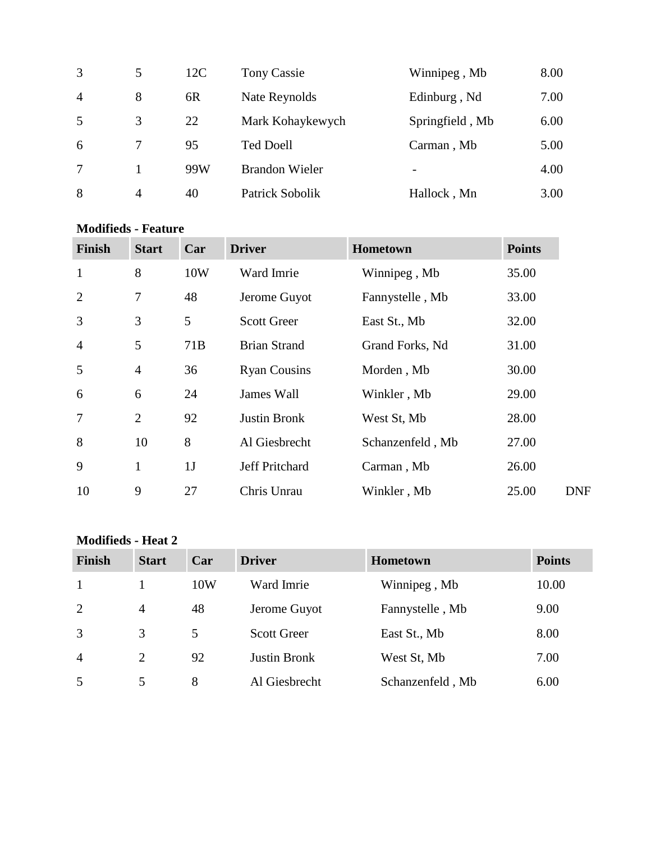| 3              | 5 | 12C | Tony Cassie           | Winnipeg, Mb    | 8.00 |
|----------------|---|-----|-----------------------|-----------------|------|
| $\overline{4}$ | 8 | 6R  | Nate Reynolds         | Edinburg, Nd    | 7.00 |
| 5              | 3 | 22  | Mark Kohaykewych      | Springfield, Mb | 6.00 |
| 6              |   | 95  | <b>Ted Doell</b>      | Carman, Mb      | 5.00 |
| 7              |   | 99W | <b>Brandon Wieler</b> |                 | 4.00 |
| 8              | 4 | 40  | Patrick Sobolik       | Hallock, Mn     | 3.00 |

#### **Modifieds - Feature**

| <b>Finish</b>  | <b>Start</b>   | Car | <b>Driver</b>       | Hometown         | <b>Points</b> |
|----------------|----------------|-----|---------------------|------------------|---------------|
| $\mathbf{1}$   | 8              | 10W | Ward Imrie          | Winnipeg, Mb     | 35.00         |
| 2              | $\overline{7}$ | 48  | Jerome Guyot        | Fannystelle, Mb  | 33.00         |
| 3              | 3              | 5   | <b>Scott Greer</b>  | East St., Mb     | 32.00         |
| $\overline{4}$ | 5              | 71B | <b>Brian Strand</b> | Grand Forks, Nd  | 31.00         |
| 5              | $\overline{4}$ | 36  | <b>Ryan Cousins</b> | Morden, Mb       | 30.00         |
| 6              | 6              | 24  | James Wall          | Winkler, Mb      | 29.00         |
| 7              | $\overline{2}$ | 92  | <b>Justin Bronk</b> | West St, Mb      | 28.00         |
| 8              | 10             | 8   | Al Giesbrecht       | Schanzenfeld, Mb | 27.00         |
| 9              | $\mathbf{1}$   | 1J  | Jeff Pritchard      | Carman, Mb       | 26.00         |
| 10             | 9              | 27  | Chris Unrau         | Winkler, Mb      | 25.00         |

## **Modifieds - Heat 2**

| <b>Finish</b>  | <b>Start</b>   | Car | <b>Driver</b>       | Hometown         | <b>Points</b> |
|----------------|----------------|-----|---------------------|------------------|---------------|
| 1              |                | 10W | Ward Imrie          | Winnipeg, Mb     | 10.00         |
| 2              | $\overline{4}$ | 48  | Jerome Guyot        | Fannystelle, Mb  | 9.00          |
| 3              | 3              | 5   | <b>Scott Greer</b>  | East St., Mb     | 8.00          |
| $\overline{4}$ | 2              | 92  | <b>Justin Bronk</b> | West St, Mb      | 7.00          |
| 5              | 5              | 8   | Al Giesbrecht       | Schanzenfeld, Mb | 6.00          |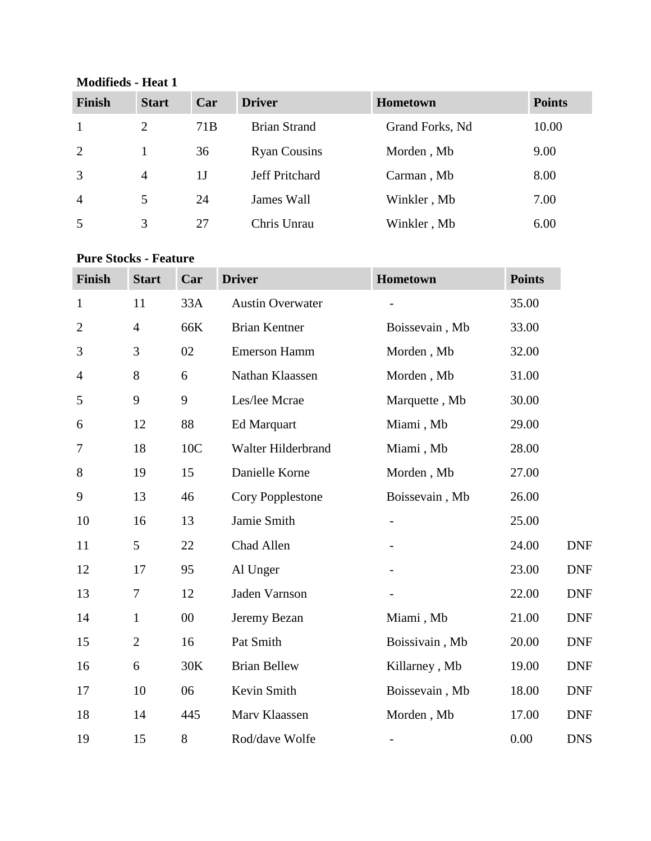**Modifieds - Heat 1**

| <b>Finish</b>  | <b>Start</b>   | Car             | <b>Driver</b>         | <b>Hometown</b> | <b>Points</b> |
|----------------|----------------|-----------------|-----------------------|-----------------|---------------|
|                | 2              | 71 <sub>B</sub> | <b>Brian Strand</b>   | Grand Forks, Nd | 10.00         |
| 2              |                | 36              | <b>Ryan Cousins</b>   | Morden, Mb      | 9.00          |
| 3              | $\overline{4}$ | 1 J             | <b>Jeff Pritchard</b> | Carman, Mb      | 8.00          |
| $\overline{4}$ | 5              | 24              | James Wall            | Winkler, Mb     | 7.00          |
| 5              | 3              | 27              | Chris Unrau           | Winkler, Mb     | 6.00          |

# **Pure Stocks - Feature**

| <b>Finish</b>  | <b>Start</b>   | Car    | <b>Driver</b>           | Hometown                 | <b>Points</b> |            |
|----------------|----------------|--------|-------------------------|--------------------------|---------------|------------|
| $\mathbf{1}$   | 11             | 33A    | <b>Austin Overwater</b> |                          | 35.00         |            |
| $\overline{2}$ | $\overline{4}$ | 66K    | <b>Brian Kentner</b>    | Boissevain, Mb           | 33.00         |            |
| 3              | 3              | 02     | <b>Emerson Hamm</b>     | Morden, Mb               | 32.00         |            |
| 4              | 8              | 6      | Nathan Klaassen         | Morden, Mb               | 31.00         |            |
| 5              | 9              | 9      | Les/lee Mcrae           | Marquette, Mb            | 30.00         |            |
| 6              | 12             | 88     | Ed Marquart             | Miami, Mb                | 29.00         |            |
| 7              | 18             | 10C    | Walter Hilderbrand      | Miami, Mb                | 28.00         |            |
| 8              | 19             | 15     | Danielle Korne          | Morden, Mb               | 27.00         |            |
| 9              | 13             | 46     | <b>Cory Popplestone</b> | Boissevain, Mb           | 26.00         |            |
| 10             | 16             | 13     | Jamie Smith             |                          | 25.00         |            |
| 11             | 5              | 22     | Chad Allen              |                          | 24.00         | <b>DNF</b> |
| 12             | 17             | 95     | Al Unger                |                          | 23.00         | <b>DNF</b> |
| 13             | 7              | 12     | Jaden Varnson           |                          | 22.00         | <b>DNF</b> |
| 14             | $\mathbf{1}$   | $00\,$ | Jeremy Bezan            | Miami, Mb                | 21.00         | <b>DNF</b> |
| 15             | $\overline{2}$ | 16     | Pat Smith               | Boissivain, Mb           | 20.00         | <b>DNF</b> |
| 16             | 6              | 30K    | <b>Brian Bellew</b>     | Killarney, Mb            | 19.00         | <b>DNF</b> |
| 17             | 10             | 06     | Kevin Smith             | Boissevain, Mb           | 18.00         | <b>DNF</b> |
| 18             | 14             | 445    | Marv Klaassen           | Morden, Mb               | 17.00         | <b>DNF</b> |
| 19             | 15             | 8      | Rod/dave Wolfe          | $\overline{\phantom{0}}$ | 0.00          | <b>DNS</b> |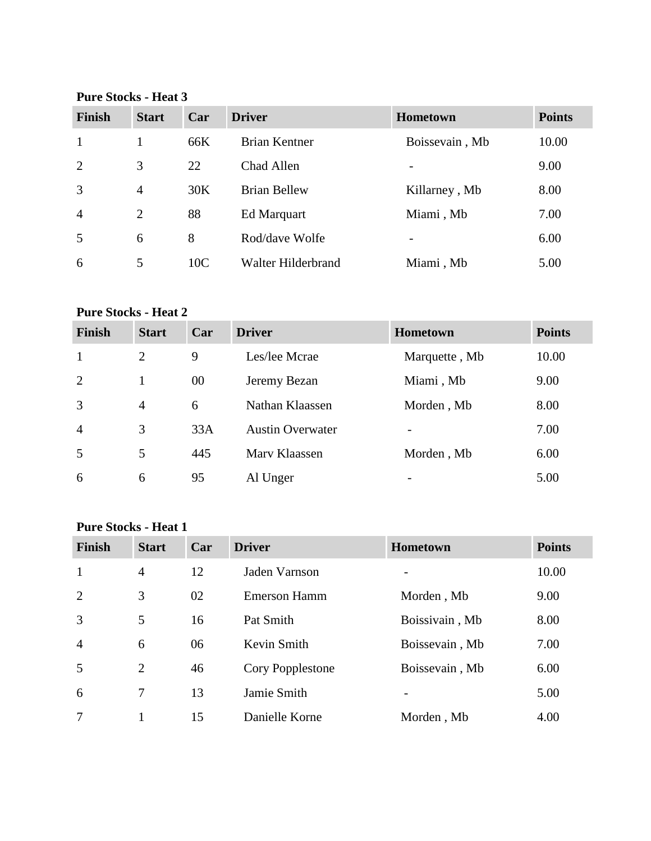**Pure Stocks - Heat 3**

| <b>Finish</b>  | <b>Start</b>   | Car             | <b>Driver</b>        | <b>Hometown</b>          | <b>Points</b> |
|----------------|----------------|-----------------|----------------------|--------------------------|---------------|
| $\mathbf{1}$   |                | 66K             | <b>Brian Kentner</b> | Boissevain, Mb           | 10.00         |
| 2              | 3              | 22              | Chad Allen           | $\overline{\phantom{a}}$ | 9.00          |
| 3              | $\overline{4}$ | 30K             | <b>Brian Bellew</b>  | Killarney, Mb            | 8.00          |
| $\overline{4}$ | 2              | 88              | Ed Marquart          | Miami, Mb                | 7.00          |
| 5              | 6              | 8               | Rod/dave Wolfe       | $\overline{\phantom{0}}$ | 6.00          |
| 6              | 5              | 10 <sub>C</sub> | Walter Hilderbrand   | Miami, Mb                | 5.00          |

### **Pure Stocks - Heat 2**

| <b>Finish</b>  | <b>Start</b>   | Car | <b>Driver</b>           | <b>Hometown</b> | <b>Points</b> |
|----------------|----------------|-----|-------------------------|-----------------|---------------|
| $\mathbf{1}$   | 2              | 9   | Les/lee Mcrae           | Marquette, Mb   | 10.00         |
| 2              | 1              | 00  | Jeremy Bezan            | Miami, Mb       | 9.00          |
| 3              | $\overline{4}$ | 6   | Nathan Klaassen         | Morden, Mb      | 8.00          |
| $\overline{4}$ | 3              | 33A | <b>Austin Overwater</b> | ۰               | 7.00          |
| 5              | 5              | 445 | Mary Klaassen           | Morden, Mb      | 6.00          |
| 6              | 6              | 95  | Al Unger                | ۰               | 5.00          |

### **Pure Stocks - Heat 1**

| <b>Finish</b>  | <b>Start</b>   | Car | <b>Driver</b>       | <b>Hometown</b>          | <b>Points</b> |
|----------------|----------------|-----|---------------------|--------------------------|---------------|
| $\mathbf{1}$   | $\overline{4}$ | 12  | Jaden Varnson       |                          | 10.00         |
| 2              | 3              | 02  | <b>Emerson Hamm</b> | Morden, Mb               | 9.00          |
| 3              | 5              | 16  | Pat Smith           | Boissivain, Mb           | 8.00          |
| $\overline{4}$ | 6              | 06  | Kevin Smith         | Boissevain, Mb           | 7.00          |
| .5             | 2              | 46  | Cory Popplestone    | Boissevain, Mb           | 6.00          |
| 6              | 7              | 13  | Jamie Smith         | $\overline{\phantom{a}}$ | 5.00          |
| 7              |                | 15  | Danielle Korne      | Morden, Mb               | 4.00          |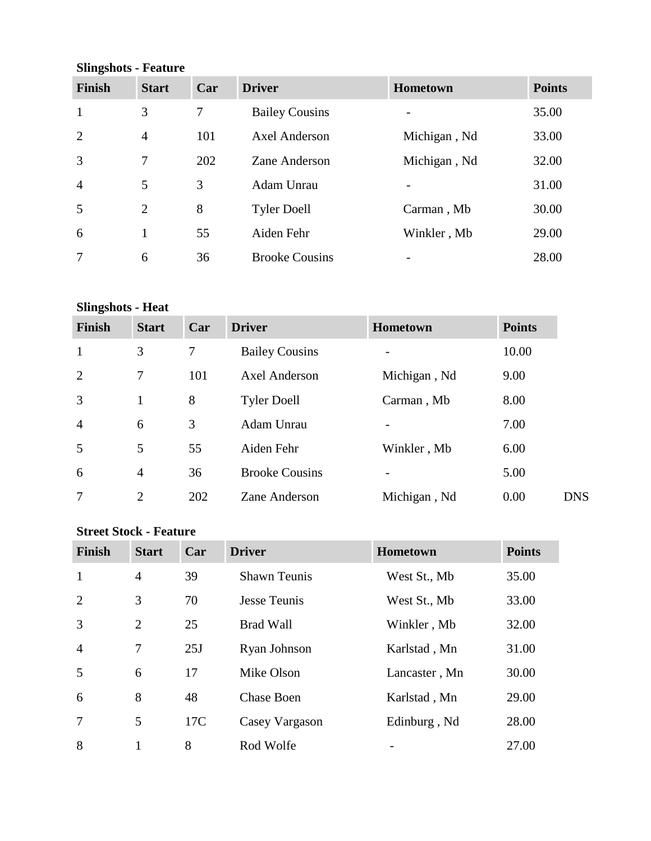**Slingshots - Feature**

| o<br><b>Finish</b> | <b>Start</b>   | Car | <b>Driver</b>         | <b>Hometown</b> | <b>Points</b> |
|--------------------|----------------|-----|-----------------------|-----------------|---------------|
| 1                  | 3              | 7   | <b>Bailey Cousins</b> |                 | 35.00         |
| $\overline{2}$     | $\overline{4}$ | 101 | <b>Axel Anderson</b>  | Michigan, Nd    | 33.00         |
| 3                  | 7              | 202 | Zane Anderson         | Michigan, Nd    | 32.00         |
| $\overline{4}$     | 5              | 3   | Adam Unrau            |                 | 31.00         |
| 5                  | $\overline{2}$ | 8   | <b>Tyler Doell</b>    | Carman, Mb      | 30.00         |
| 6                  | 1              | 55  | Aiden Fehr            | Winkler, Mb     | 29.00         |
|                    | 6              | 36  | <b>Brooke Cousins</b> |                 | 28.00         |

# **Slingshots - Heat**

| <b>Finish</b>  | <b>Start</b>   | Car | <b>Driver</b>         | <b>Hometown</b>          | <b>Points</b>      |
|----------------|----------------|-----|-----------------------|--------------------------|--------------------|
| $\mathbf{1}$   | 3              | 7   | <b>Bailey Cousins</b> | $\overline{a}$           | 10.00              |
| 2              | 7              | 101 | <b>Axel Anderson</b>  | Michigan, Nd             | 9.00               |
| $\overline{3}$ |                | 8   | <b>Tyler Doell</b>    | Carman, Mb               | 8.00               |
| $\overline{4}$ | 6              | 3   | Adam Unrau            | $\overline{\phantom{0}}$ | 7.00               |
| 5              | 5              | 55  | Aiden Fehr            | Winkler, Mb              | 6.00               |
| 6              | $\overline{4}$ | 36  | <b>Brooke Cousins</b> | $\overline{a}$           | 5.00               |
| $\tau$         | $\overline{2}$ | 202 | Zane Anderson         | Michigan, Nd             | 0.00<br><b>DNS</b> |

#### **Street Stock - Feature**

| <b>Finish</b>  | <b>Start</b>   | Car | <b>Driver</b>       | Hometown      | <b>Points</b> |
|----------------|----------------|-----|---------------------|---------------|---------------|
| $\mathbf{1}$   | $\overline{4}$ | 39  | <b>Shawn Teunis</b> | West St., Mb  | 35.00         |
| $\overline{2}$ | 3              | 70  | <b>Jesse Teunis</b> | West St., Mb  | 33.00         |
| 3              | 2              | 25  | <b>Brad Wall</b>    | Winkler, Mb   | 32.00         |
| $\overline{4}$ | 7              | 25J | Ryan Johnson        | Karlstad, Mn  | 31.00         |
| 5              | 6              | 17  | Mike Olson          | Lancaster, Mn | 30.00         |
| 6              | 8              | 48  | <b>Chase Boen</b>   | Karlstad, Mn  | 29.00         |
| 7              | 5              | 17C | Casey Vargason      | Edinburg, Nd  | 28.00         |
| 8              |                | 8   | Rod Wolfe           |               | 27.00         |